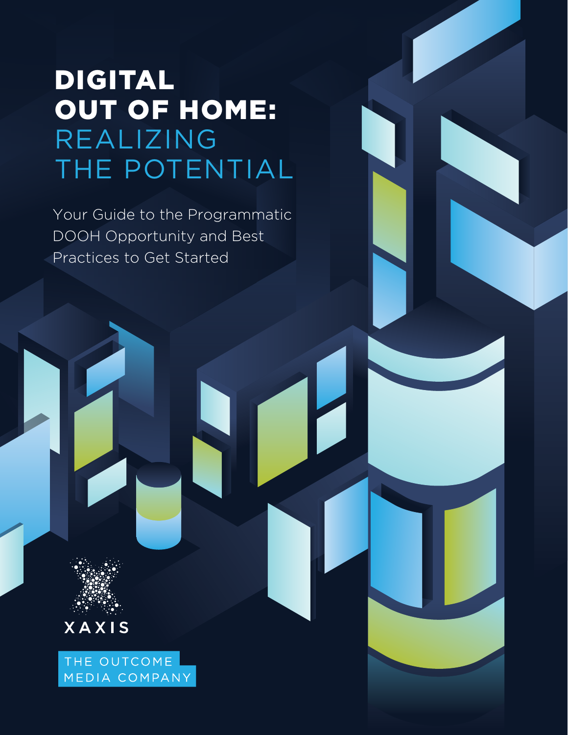# DIGITAL OUT OF HOME: REALIZING THE POTENTIAL

Your Guide to the Programmatic DOOH Opportunity and Best Practices to Get Started



THE OUTCOME MEDIA COMPANY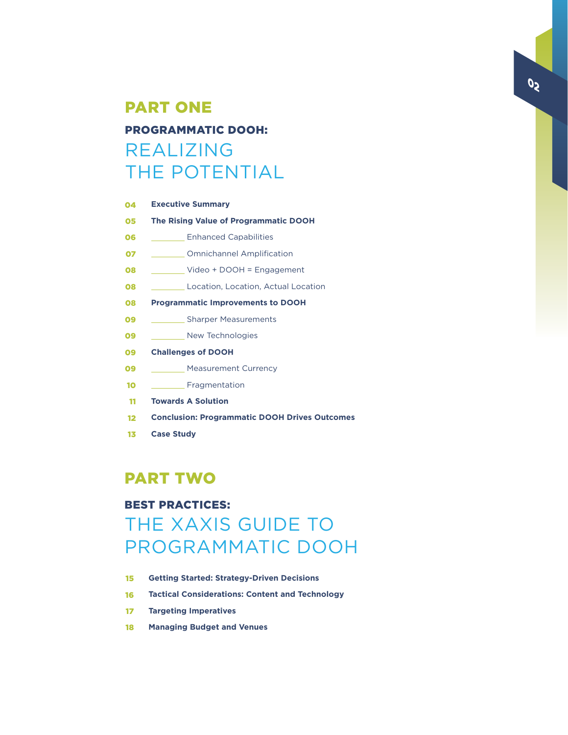### PART ONE

### PROGRAMMATIC DOOH: REALIZING THE POTENTIAL

| 04 | <b>Executive Summary</b>                             |
|----|------------------------------------------------------|
| 05 | The Rising Value of Programmatic DOOH                |
| 06 | <b>Enhanced Capabilities</b>                         |
| 07 | <b>Omnichannel Amplification</b>                     |
| 08 | Video + $DOOH = Engagement$                          |
| 08 | Location, Location, Actual Location                  |
| 08 | <b>Programmatic Improvements to DOOH</b>             |
| 09 | ___ Sharper Measurements                             |
| 09 | New Technologies                                     |
| 09 | <b>Challenges of DOOH</b>                            |
| 09 | <b>Measurement Currency</b>                          |
| 10 | Fragmentation                                        |
| 11 | <b>Towards A Solution</b>                            |
| 12 | <b>Conclusion: Programmatic DOOH Drives Outcomes</b> |
| 13 | <b>Case Study</b>                                    |

### PART TWO

### BEST PRACTICES:

### THE XAXIS GUIDE TO PROGRAMMATIC DOOH

- **Getting Started: Strategy-Driven Decisions** 15
- **Tactical Considerations: Content and Technology** 16
- **Targeting Imperatives** 17
- **Managing Budget and Venues** 18

02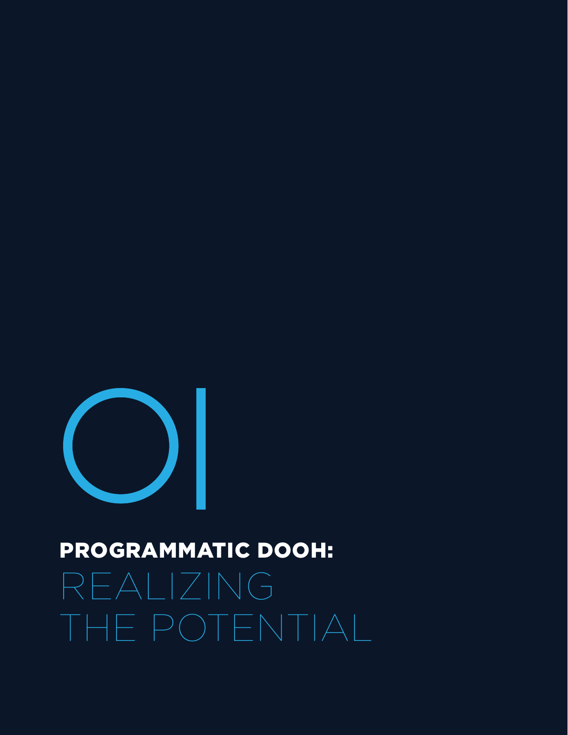

# PROGRAMMATIC DOOH:

REALIZING THE POTENTIAL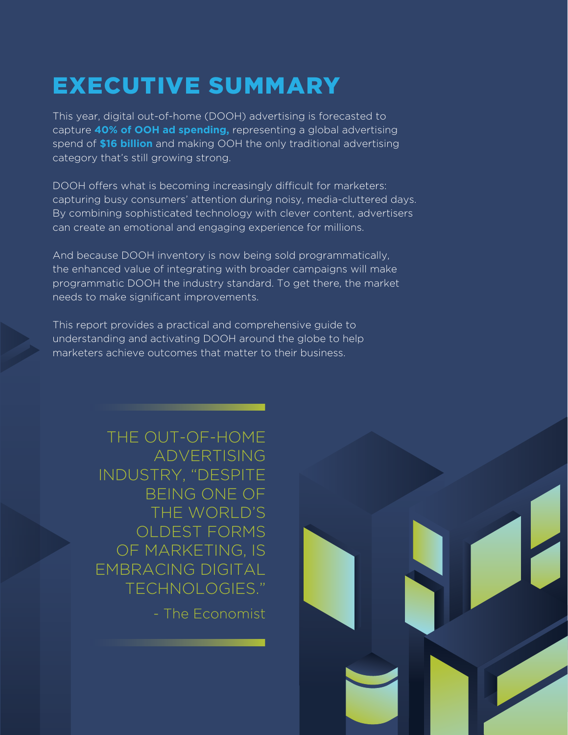# EXECUTIVE SUMMARY

This year, digital out-of-home (DOOH) advertising is forecasted to capture **40% of OOH ad spending,** representing a global advertising spend of **\$16 billion** and making OOH the only traditional advertising category that's still growing strong.

DOOH offers what is becoming increasingly difficult for marketers: capturing busy consumers' attention during noisy, media-cluttered days. By combining sophisticated technology with clever content, advertisers can create an emotional and engaging experience for millions.

And because DOOH inventory is now being sold programmatically, the enhanced value of integrating with broader campaigns will make programmatic DOOH the industry standard. To get there, the market needs to make significant improvements.

This report provides a practical and comprehensive guide to understanding and activating DOOH around the globe to help marketers achieve outcomes that matter to their business.

> THE OUT-OF-HOME ADVERTISING INDUSTRY, "DESPITE BEING ONE OF THE WORLD'S OLDEST FORMS OF MARKETING, IS EMBRACING DIGITAL TECHNOLOGIES."

> > - The Economist

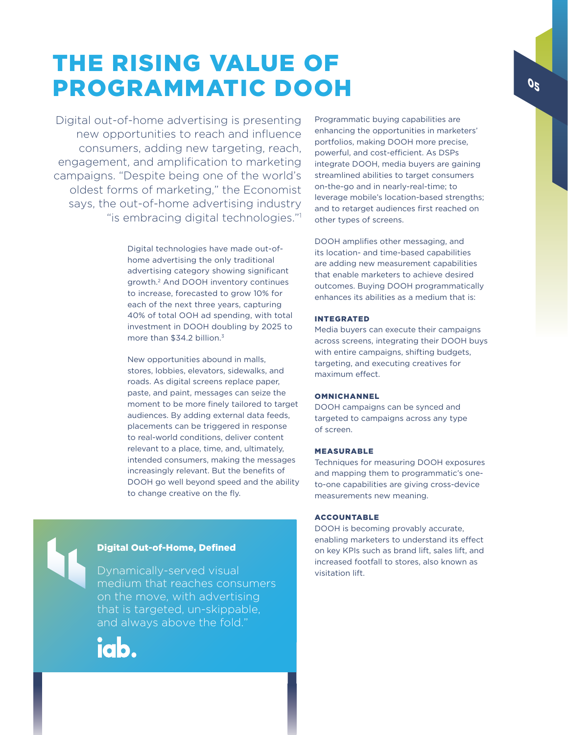### THE RISING VALUE OF PROGRAMMATIC DOOH

Digital out-of-home advertising is presenting new opportunities to reach and influence consumers, adding new targeting, reach, engagement, and amplification to marketing campaigns. "Despite being one of the world's oldest forms of marketing," the Economist says, the out-of-home advertising industry "is embracing digital technologies."1

> Digital technologies have made out-ofhome advertising the only traditional advertising category showing significant growth.2 And DOOH inventory continues to increase, forecasted to grow 10% for each of the next three years, capturing 40% of total OOH ad spending, with total investment in DOOH doubling by 2025 to more than \$34.2 billion.<sup>3</sup>

New opportunities abound in malls, stores, lobbies, elevators, sidewalks, and roads. As digital screens replace paper, paste, and paint, messages can seize the moment to be more finely tailored to target audiences. By adding external data feeds, placements can be triggered in response to real-world conditions, deliver content relevant to a place, time, and, ultimately, intended consumers, making the messages increasingly relevant. But the benefits of DOOH go well beyond speed and the ability to change creative on the fly.

Programmatic buying capabilities are enhancing the opportunities in marketers' portfolios, making DOOH more precise, powerful, and cost-efficient. As DSPs integrate DOOH, media buyers are gaining streamlined abilities to target consumers on-the-go and in nearly-real-time; to leverage mobile's location-based strengths; and to retarget audiences first reached on other types of screens.

DOOH amplifies other messaging, and its location- and time-based capabilities are adding new measurement capabilities that enable marketers to achieve desired outcomes. Buying DOOH programmatically enhances its abilities as a medium that is:

### INTEGRATED

Media buyers can execute their campaigns across screens, integrating their DOOH buys with entire campaigns, shifting budgets, targeting, and executing creatives for maximum effect.

#### **OMNICHANNEL**

DOOH campaigns can be synced and targeted to campaigns across any type of screen.

### MEASURABLE

Techniques for measuring DOOH exposures and mapping them to programmatic's oneto-one capabilities are giving cross-device measurements new meaning.

### ACCOUNTABLE

DOOH is becoming provably accurate, enabling marketers to understand its effect on key KPIs such as brand lift, sales lift, and increased footfall to stores, also known as visitation lift.

### Digital Out-of-Home, Defined

Dynamically-served visual medium that reaches consumers on the move, with advertising that is targeted, un-skippable, and always above the fold."

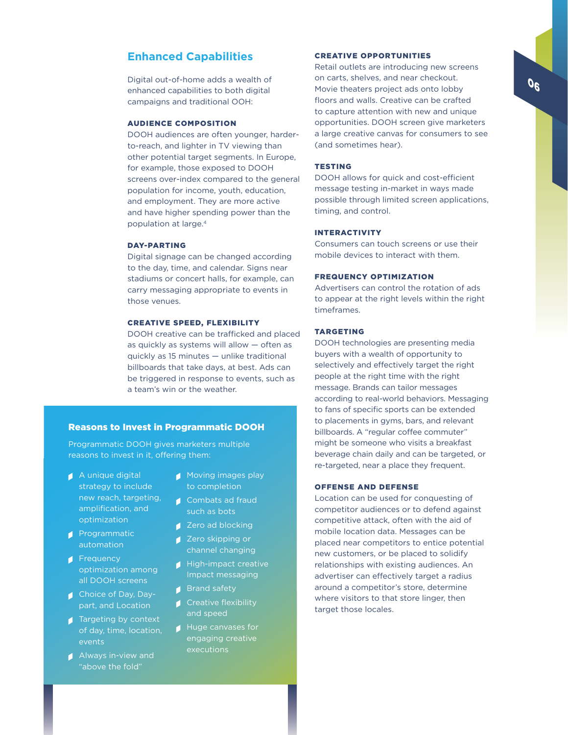### **Enhanced Capabilities**

Digital out-of-home adds a wealth of enhanced capabilities to both digital campaigns and traditional OOH:

### AUDIENCE COMPOSITION

DOOH audiences are often younger, harderto-reach, and lighter in TV viewing than other potential target segments. In Europe, for example, those exposed to DOOH screens over-index compared to the general population for income, youth, education, and employment. They are more active and have higher spending power than the population at large.4

### DAY-PARTING

Digital signage can be changed according to the day, time, and calendar. Signs near stadiums or concert halls, for example, can carry messaging appropriate to events in those venues.

#### CREATIVE SPEED, FLEXIBILITY

DOOH creative can be trafficked and placed as quickly as systems will allow — often as quickly as 15 minutes — unlike traditional billboards that take days, at best. Ads can be triggered in response to events, such as a team's win or the weather.

### Reasons to Invest in Programmatic DOOH

Programmatic DOOH gives marketers multiple reasons to invest in it, offering them:

- A unique digital strategy to include new reach, targeting, amplification, and optimization
- **Programmatic** automation
- **Frequency** optimization among all DOOH screens
- **Choice of Day, Day**part, and Location
- **■** Targeting by context of day, time, location, events
- Always in-view and "above the fold"
- Moving images play to completion
- Combats ad fraud such as bots
- **Zero ad blocking**
- **Zero skipping or** channel changing
- High-impact creative Impact messaging
- Brand safety
- **Creative flexibility**
- Huge canvases for engaging creative executions

### CREATIVE OPPORTUNITIES

Retail outlets are introducing new screens on carts, shelves, and near checkout. Movie theaters project ads onto lobby floors and walls. Creative can be crafted to capture attention with new and unique opportunities. DOOH screen give marketers a large creative canvas for consumers to see (and sometimes hear).

### **TESTING**

DOOH allows for quick and cost-efficient message testing in-market in ways made possible through limited screen applications, timing, and control.

#### INTERACTIVITY

Consumers can touch screens or use their mobile devices to interact with them.

### FREQUENCY OPTIMIZATION

Advertisers can control the rotation of ads to appear at the right levels within the right timeframes.

### TARGETING

DOOH technologies are presenting media buyers with a wealth of opportunity to selectively and effectively target the right people at the right time with the right message. Brands can tailor messages according to real-world behaviors. Messaging to fans of specific sports can be extended to placements in gyms, bars, and relevant billboards. A "regular coffee commuter" might be someone who visits a breakfast beverage chain daily and can be targeted, or re-targeted, near a place they frequent.

#### OFFENSE AND DEFENSE

Location can be used for conquesting of competitor audiences or to defend against competitive attack, often with the aid of mobile location data. Messages can be placed near competitors to entice potential new customers, or be placed to solidify relationships with existing audiences. An advertiser can effectively target a radius around a competitor's store, determine where visitors to that store linger, then target those locales.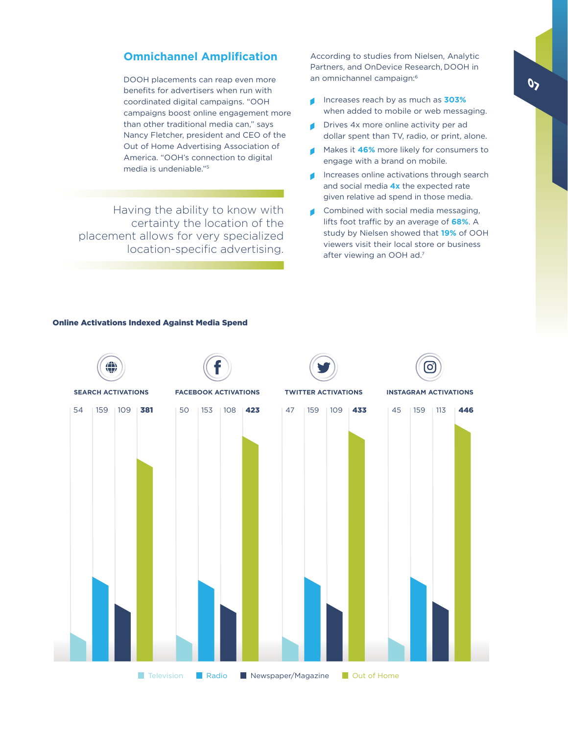### **Omnichannel Amplification**

DOOH placements can reap even more benefits for advertisers when run with coordinated digital campaigns. "OOH campaigns boost online engagement more than other traditional media can," says Nancy Fletcher, president and CEO of the Out of Home Advertising Association of America. "OOH's connection to digital media is undeniable."5

Having the ability to know with certainty the location of the placement allows for very specialized location-specific advertising.

According to studies from Nielsen, Analytic Partners, and OnDevice Research, DOOH in an omnichannel campaign:6

- ď Increases reach by as much as **303%** when added to mobile or web messaging.
- Drives 4x more online activity per ad  $\blacksquare$ dollar spent than TV, radio, or print, alone.
- Makes it **46%** more likely for consumers to engage with a brand on mobile.
- Increases online activations through search and social media **4x** the expected rate given relative ad spend in those media.
- $\blacksquare$ Combined with social media messaging, lifts foot traffic by an average of **68%**. A study by Nielsen showed that **19%** of OOH viewers visit their local store or business after viewing an OOH ad.7



#### Online Activations Indexed Against Media Spend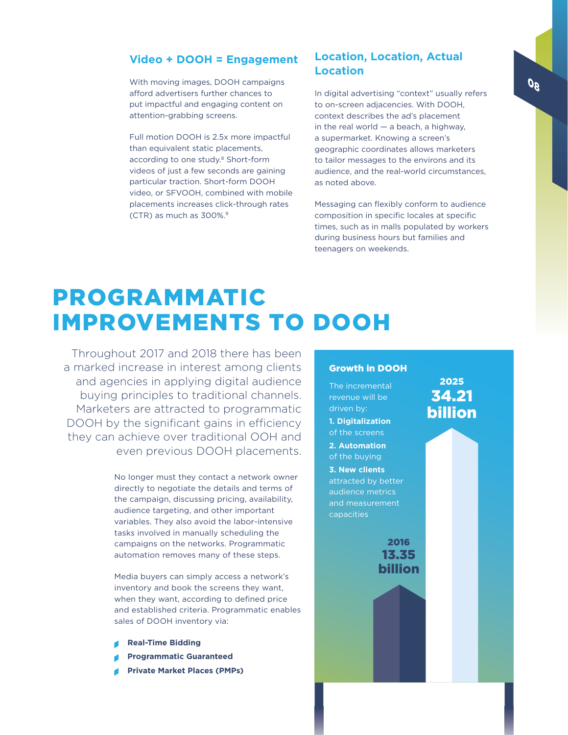### **Video + DOOH = Engagement**

With moving images, DOOH campaigns afford advertisers further chances to put impactful and engaging content on attention-grabbing screens.

Full motion DOOH is 2.5x more impactful than equivalent static placements, according to one study.<sup>8</sup> Short-form videos of just a few seconds are gaining particular traction. Short-form DOOH video, or SFVOOH, combined with mobile placements increases click-through rates (CTR) as much as 300%.9

### **Location, Location, Actual Location**

In digital advertising "context" usually refers to on-screen adjacencies. With DOOH, context describes the ad's placement in the real world  $-$  a beach, a highway, a supermarket. Knowing a screen's geographic coordinates allows marketers to tailor messages to the environs and its audience, and the real-world circumstances, as noted above.

Messaging can flexibly conform to audience composition in specific locales at specific times, such as in malls populated by workers during business hours but families and teenagers on weekends.

### PROGRAMMATIC IMPROVEMENTS TO DOOH

Throughout 2017 and 2018 there has been a marked increase in interest among clients and agencies in applying digital audience buying principles to traditional channels. Marketers are attracted to programmatic DOOH by the significant gains in efficiency they can achieve over traditional OOH and even previous DOOH placements.

> No longer must they contact a network owner directly to negotiate the details and terms of the campaign, discussing pricing, availability, audience targeting, and other important variables. They also avoid the labor-intensive tasks involved in manually scheduling the campaigns on the networks. Programmatic automation removes many of these steps.

Media buyers can simply access a network's inventory and book the screens they want, when they want, according to defined price and established criteria. Programmatic enables sales of DOOH inventory via:

- **Real-Time Bidding**
- **Programmatic Guaranteed**
- **Private Market Places (PMPs)**

### Growth in DOOH

The incremental revenue will be driven by: **1. Digitalization** of the screens **2. Automation**  of the buying **3. New clients**  attracted by better audience metrics and measurement capacities

> 2016 13.35 billion

34.21 billion

2025

g0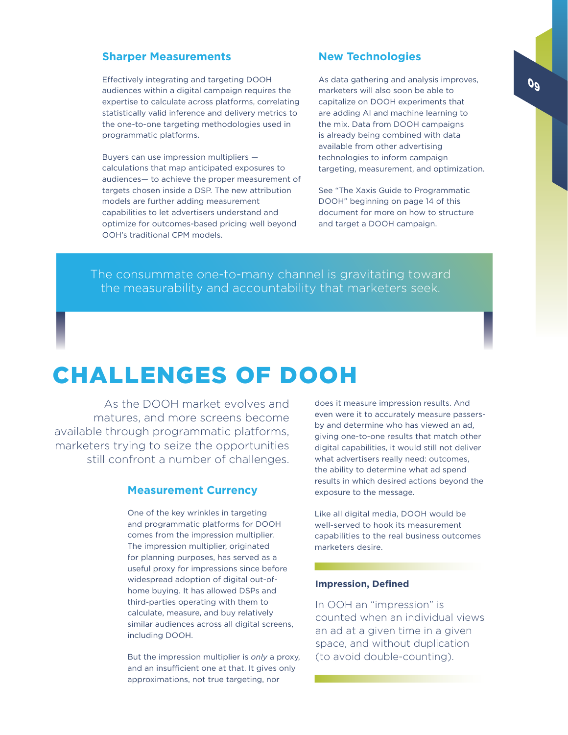### **Sharper Measurements**

Effectively integrating and targeting DOOH audiences within a digital campaign requires the expertise to calculate across platforms, correlating statistically valid inference and delivery metrics to the one-to-one targeting methodologies used in programmatic platforms.

Buyers can use impression multipliers calculations that map anticipated exposures to audiences— to achieve the proper measurement of targets chosen inside a DSP. The new attribution models are further adding measurement capabilities to let advertisers understand and optimize for outcomes-based pricing well beyond OOH's traditional CPM models.

### **New Technologies**

As data gathering and analysis improves, marketers will also soon be able to capitalize on DOOH experiments that are adding AI and machine learning to the mix. Data from DOOH campaigns is already being combined with data available from other advertising technologies to inform campaign targeting, measurement, and optimization.

See "The Xaxis Guide to Programmatic DOOH" beginning on page 14 of this document for more on how to structure and target a DOOH campaign.

The consummate one-to-many channel is gravitating toward the measurability and accountability that marketers seek.

### CHALLENGES OF DOOH

As the DOOH market evolves and matures, and more screens become available through programmatic platforms, marketers trying to seize the opportunities still confront a number of challenges.

### **Measurement Currency**

One of the key wrinkles in targeting and programmatic platforms for DOOH comes from the impression multiplier. The impression multiplier, originated for planning purposes, has served as a useful proxy for impressions since before widespread adoption of digital out-ofhome buying. It has allowed DSPs and third-parties operating with them to calculate, measure, and buy relatively similar audiences across all digital screens, including DOOH.

But the impression multiplier is *only* a proxy, and an insufficient one at that. It gives only approximations, not true targeting, nor

does it measure impression results. And even were it to accurately measure passersby and determine who has viewed an ad, giving one-to-one results that match other digital capabilities, it would still not deliver what advertisers really need: outcomes, the ability to determine what ad spend results in which desired actions beyond the exposure to the message.

Like all digital media, DOOH would be well-served to hook its measurement capabilities to the real business outcomes marketers desire.

### **Impression, Defined**

In OOH an "impression" is counted when an individual views an ad at a given time in a given space, and without duplication (to avoid double-counting).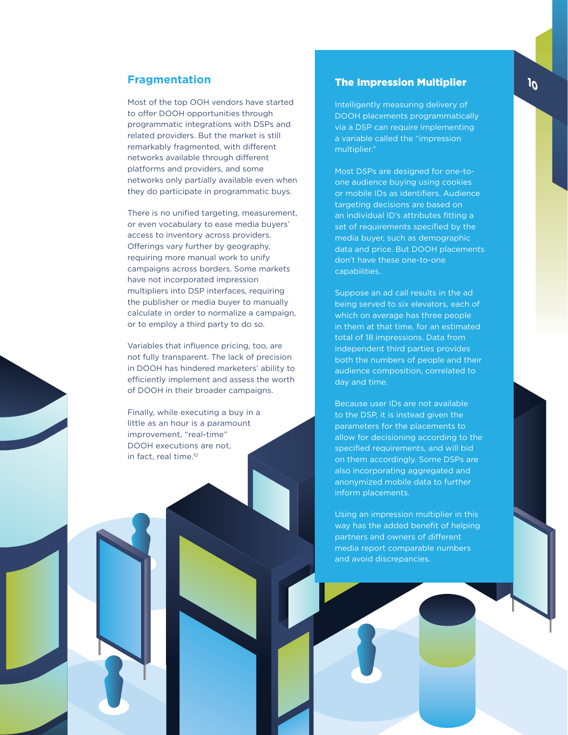### **Fragmentation**

Most of the top OOH vendors have started to offer DOOH opportunities through programmatic integrations with DSPs and related providers. But the market is still remarkably fragmented, with different networks available through different platforms and providers, and some networks only partially available even when they do participate in programmatic buys.

There is no unified targeting, measurement, or even vocabulary to ease media buyers' access to inventory across providers. Offerings vary further by geography, requiring more manual work to unify campaigns across borders. Some markets have not incorporated impression multipliers into DSP interfaces, requiring the publisher or media buyer to manually calculate in order to normalize a campaign, or to employ a third party to do so.

Variables that influence pricing, too, are not fully transparent. The lack of precision in DOOH has hindered marketers' ability to efficiently implement and assess the worth of DOOH in their broader campaigns.

Finally, while executing a buy in a little as an hour is a paramount improvement, "real-time" DOOH executions are not, in fact, real time.10

### The Impression Multiplier

Intelligently measuring delivery of DOOH placements programmatically via a DSP can require implementing a variable called the "impression multiplier."

Most DSPs are designed for one-toone audience buying using cookies or mobile IDs as identifiers. Audience targeting decisions are based on an individual ID's attributes fitting a set of requirements specified by the media buyer, such as demographic data and price. But DOOH placements don't have these one-to-one capabilities.

Suppose an ad call results in the ad being served to six elevators, each of which on average has three people in them at that time, for an estimated total of 18 impressions. Data from independent third parties provides both the numbers of people and their audience composition, correlated to day and time.

Because user IDs are not available to the DSP, it is instead given the parameters for the placements to allow for decisioning according to the specified requirements, and will bid on them accordingly. Some DSPs are also incorporating aggregated and anonymized mobile data to further inform placements.

Using an impression multiplier in this way has the added benefit of helping partners and owners of different media report comparable numbers and avoid discrepancies.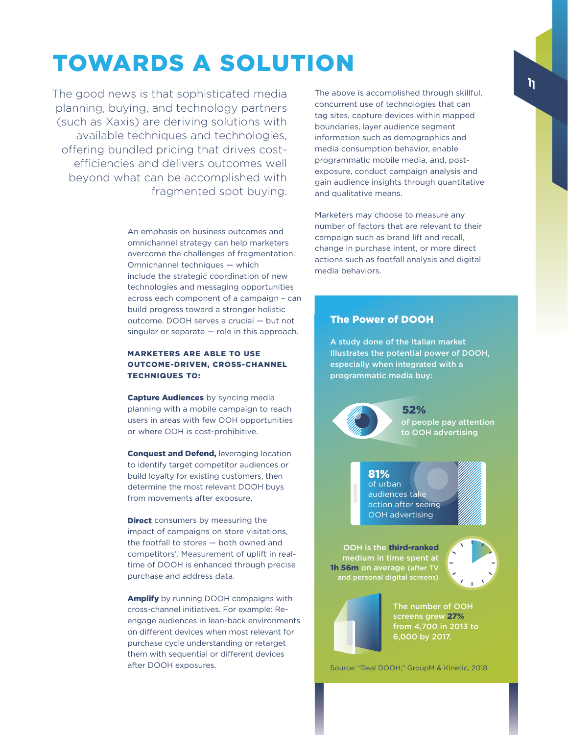# TOWARDS A SOLUTION

The good news is that sophisticated media planning, buying, and technology partners (such as Xaxis) are deriving solutions with available techniques and technologies, offering bundled pricing that drives costefficiencies and delivers outcomes well beyond what can be accomplished with fragmented spot buying.

> An emphasis on business outcomes and omnichannel strategy can help marketers overcome the challenges of fragmentation. Omnichannel techniques — which include the strategic coordination of new technologies and messaging opportunities across each component of a campaign – can build progress toward a stronger holistic outcome. DOOH serves a crucial — but not singular or separate — role in this approach.

### MARKETERS ARE ABLE TO USE OUTCOME-DRIVEN, CROSS-CHANNEL TECHNIQUES TO:

Capture Audiences by syncing media planning with a mobile campaign to reach users in areas with few OOH opportunities or where OOH is cost-prohibitive.

**Conquest and Defend, leveraging location** to identify target competitor audiences or build loyalty for existing customers, then determine the most relevant DOOH buys from movements after exposure.

**Direct** consumers by measuring the impact of campaigns on store visitations, the footfall to stores — both owned and competitors'. Measurement of uplift in realtime of DOOH is enhanced through precise purchase and address data.

Amplify by running DOOH campaigns with cross-channel initiatives. For example: Reengage audiences in lean-back environments on different devices when most relevant for purchase cycle understanding or retarget them with sequential or different devices after DOOH exposures.

The above is accomplished through skillful, concurrent use of technologies that can tag sites, capture devices within mapped boundaries, layer audience segment information such as demographics and media consumption behavior, enable programmatic mobile media, and, postexposure, conduct campaign analysis and gain audience insights through quantitative and qualitative means.

Marketers may choose to measure any number of factors that are relevant to their campaign such as brand lift and recall, change in purchase intent, or more direct actions such as footfall analysis and digital media behaviors.

### The Power of DOOH

A study done of the Italian market Illustrates the potential power of DOOH, especially when integrated with a programmatic media buy:

> of people pay attention to OOH advertising 52%

of urban audiences take action after seeing OOH advertising 81%

OOH is the third-ranked medium in time spent at 1h 56m on average (after T) and personal digital screens)





The number of OOH screens grew 27% from 4,700 in 2013 to 6,000 by 2017.

Source: "Real DOOH," GroupM & Kinetic, 2018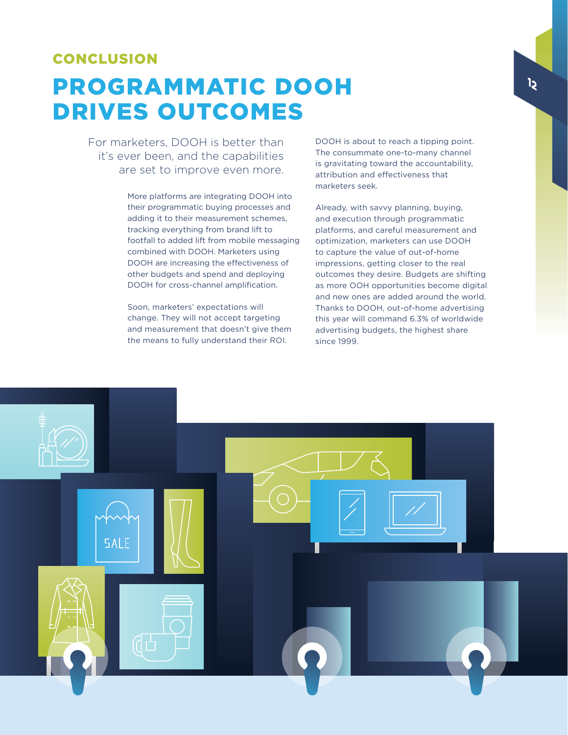### CONCLUSION

# PROGRAMMATIC DOOH DRIVES OUTCOMES

For marketers, DOOH is better than it's ever been, and the capabilities are set to improve even more.

> More platforms are integrating DOOH into their programmatic buying processes and adding it to their measurement schemes, tracking everything from brand lift to footfall to added lift from mobile messaging combined with DOOH. Marketers using DOOH are increasing the effectiveness of other budgets and spend and deploying DOOH for cross-channel amplification.

Soon, marketers' expectations will change. They will not accept targeting and measurement that doesn't give them the means to fully understand their ROI.

DOOH is about to reach a tipping point. The consummate one-to-many channel is gravitating toward the accountability, attribution and effectiveness that marketers seek.

Already, with savvy planning, buying, and execution through programmatic platforms, and careful measurement and optimization, marketers can use DOOH to capture the value of out-of-home impressions, getting closer to the real outcomes they desire. Budgets are shifting as more OOH opportunities become digital and new ones are added around the world. Thanks to DOOH, out-of-home advertising this year will command 6.3% of worldwide advertising budgets, the highest share since 1999.

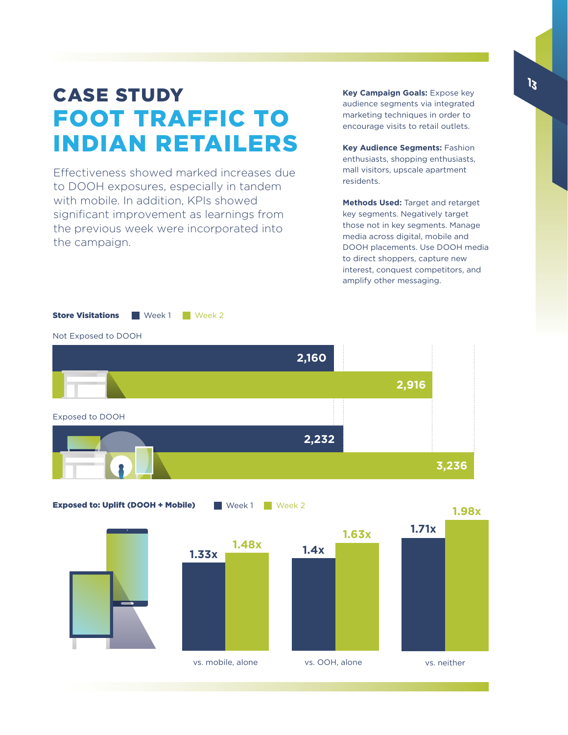### CASE STUDY FOOT TRAFFIC TO INDIAN RETAILERS

Effectiveness showed marked increases due to DOOH exposures, especially in tandem with mobile. In addition, KPIs showed significant improvement as learnings from the previous week were incorporated into the campaign.

**Key Campaign Goals:** Expose key audience segments via integrated marketing techniques in order to encourage visits to retail outlets.

**Key Audience Segments:** Fashion enthusiasts, shopping enthusiasts, mall visitors, upscale apartment residents.

**Methods Used:** Target and retarget key segments. Negatively target those not in key segments. Manage media across digital, mobile and DOOH placements. Use DOOH media to direct shoppers, capture new interest, conquest competitors, and amplify other messaging.



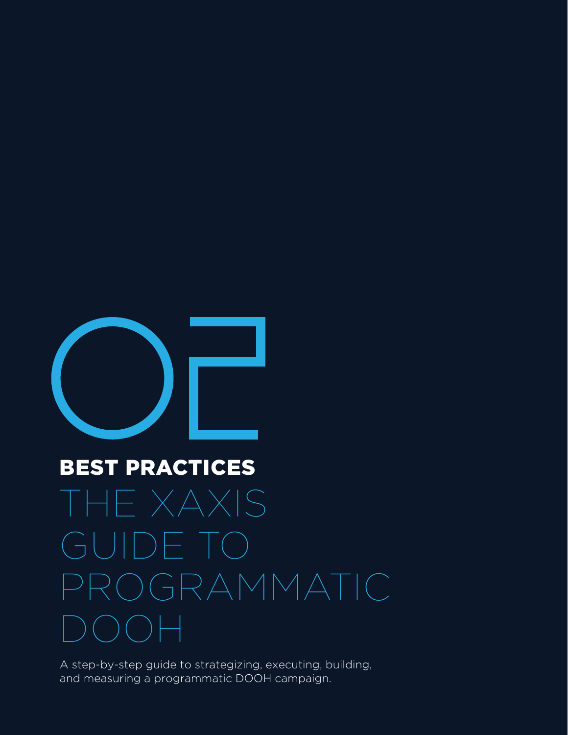

# BEST PRACTICES THE XAXIS GUIDE TO PROGRAMMATIC DOOH

A step-by-step guide to strategizing, executing, building, and measuring a programmatic DOOH campaign.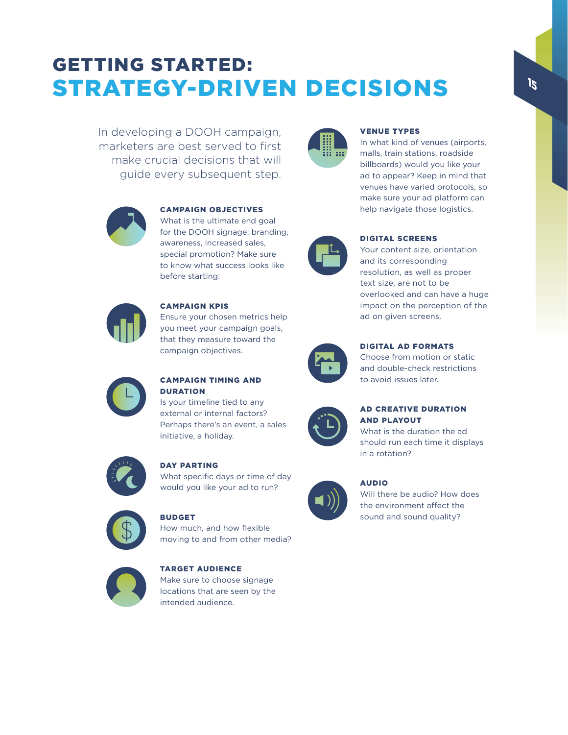### GETTING STARTED: STRATEGY-DRIVEN DECISIONS

In developing a DOOH campaign, marketers are best served to first make crucial decisions that will guide every subsequent step.



### CAMPAIGN OBJECTIVES

What is the ultimate end goal for the DOOH signage: branding, awareness, increased sales, special promotion? Make sure to know what success looks like before starting.



### Ensure your chosen metrics help you meet your campaign goals, that they measure toward the campaign objectives.



### CAMPAIGN TIMING AND **DURATION**

CAMPAIGN KPIS

Is your timeline tied to any external or internal factors? Perhaps there's an event, a sales initiative, a holiday.



### DAY PARTING

What specific days or time of day would you like your ad to run?



### BUDGET

How much, and how flexible moving to and from other media?



### TARGET AUDIENCE Make sure to choose signage locations that are seen by the intended audience.



### VENUE TYPES

In what kind of venues (airports, malls, train stations, roadside billboards) would you like your ad to appear? Keep in mind that venues have varied protocols, so make sure your ad platform can help navigate those logistics.



### DIGITAL SCREENS

Your content size, orientation and its corresponding resolution, as well as proper text size, are not to be overlooked and can have a huge impact on the perception of the ad on given screens.



### DIGITAL AD FORMATS

Choose from motion or static and double-check restrictions to avoid issues later.



### AD CREATIVE DURATION AND PLAYOUT

What is the duration the ad should run each time it displays in a rotation?



### AUDIO

Will there be audio? How does the environment affect the sound and sound quality?

15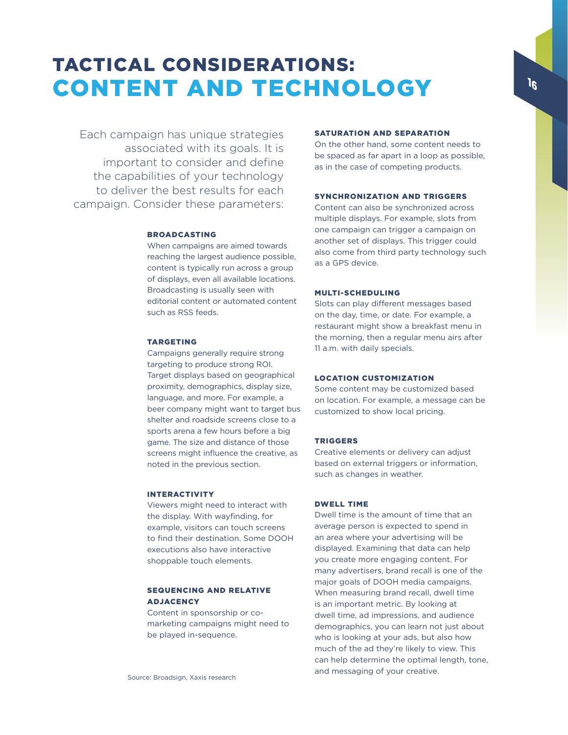### TACTICAL CONSIDERATIONS: CONTENT AND TECHNOLOGY

Each campaign has unique strategies associated with its goals. It is important to consider and define the capabilities of your technology to deliver the best results for each campaign. Consider these parameters:

#### BROADCASTING

When campaigns are aimed towards reaching the largest audience possible, content is typically run across a group of displays, even all available locations. Broadcasting is usually seen with editorial content or automated content such as RSS feeds.

### TARGETING

Campaigns generally require strong targeting to produce strong ROI. Target displays based on geographical proximity, demographics, display size, language, and more. For example, a beer company might want to target bus shelter and roadside screens close to a sports arena a few hours before a big game. The size and distance of those screens might influence the creative, as noted in the previous section.

#### INTERACTIVITY

Viewers might need to interact with the display. With wayfinding, for example, visitors can touch screens to find their destination. Some DOOH executions also have interactive shoppable touch elements.

### SEQUENCING AND RELATIVE ADJACENCY

Content in sponsorship or comarketing campaigns might need to be played in-sequence.

### SATURATION AND SEPARATION

On the other hand, some content needs to be spaced as far apart in a loop as possible, as in the case of competing products.

### SYNCHRONIZATION AND TRIGGERS

Content can also be synchronized across multiple displays. For example, slots from one campaign can trigger a campaign on another set of displays. This trigger could also come from third party technology such as a GPS device.

### MULTI-SCHEDULING

Slots can play different messages based on the day, time, or date. For example, a restaurant might show a breakfast menu in the morning, then a regular menu airs after 11 a.m. with daily specials.

### LOCATION CUSTOMIZATION

Some content may be customized based on location. For example, a message can be customized to show local pricing.

### TRIGGERS

Creative elements or delivery can adjust based on external triggers or information, such as changes in weather.

### DWELL TIME

Dwell time is the amount of time that an average person is expected to spend in an area where your advertising will be displayed. Examining that data can help you create more engaging content. For many advertisers, brand recall is one of the major goals of DOOH media campaigns. When measuring brand recall, dwell time is an important metric. By looking at dwell time, ad impressions, and audience demographics, you can learn not just about who is looking at your ads, but also how much of the ad they're likely to view. This can help determine the optimal length, tone, and messaging of your creative.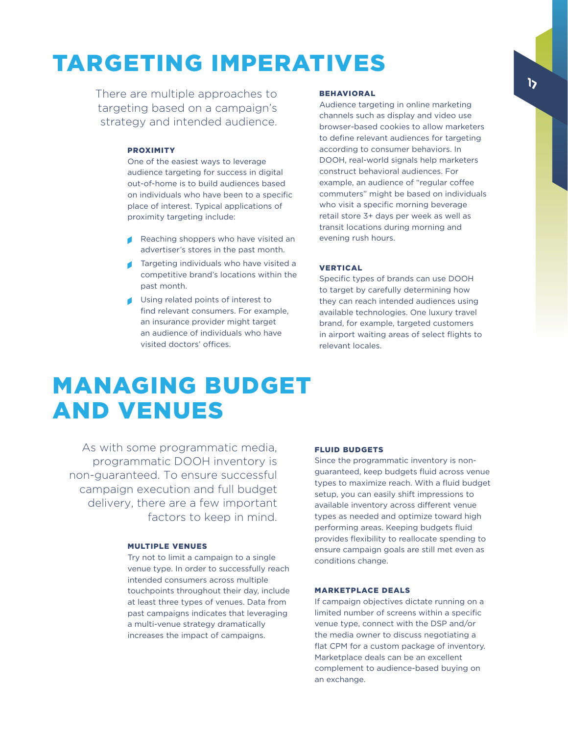# TARGETING IMPERATIVES

There are multiple approaches to targeting based on a campaign's strategy and intended audience.

### PROXIMITY

One of the easiest ways to leverage audience targeting for success in digital out-of-home is to build audiences based on individuals who have been to a specific place of interest. Typical applications of proximity targeting include:

- Reaching shoppers who have visited an advertiser's stores in the past month.
- Targeting individuals who have visited a competitive brand's locations within the past month.
- Using related points of interest to find relevant consumers. For example, an insurance provider might target an audience of individuals who have visited doctors' offices.

#### **BEHAVIORAL**

Audience targeting in online marketing channels such as display and video use browser-based cookies to allow marketers to define relevant audiences for targeting according to consumer behaviors. In DOOH, real-world signals help marketers construct behavioral audiences. For example, an audience of "regular coffee commuters" might be based on individuals who visit a specific morning beverage retail store 3+ days per week as well as transit locations during morning and evening rush hours.

### VERTICAL

Specific types of brands can use DOOH to target by carefully determining how they can reach intended audiences using available technologies. One luxury travel brand, for example, targeted customers in airport waiting areas of select flights to relevant locales.

### MANAGING BUDGET AND VENUES

As with some programmatic media, programmatic DOOH inventory is non-guaranteed. To ensure successful campaign execution and full budget delivery, there are a few important factors to keep in mind.

### MULTIPLE VENUES

Try not to limit a campaign to a single venue type. In order to successfully reach intended consumers across multiple touchpoints throughout their day, include at least three types of venues. Data from past campaigns indicates that leveraging a multi-venue strategy dramatically increases the impact of campaigns.

### FLUID BUDGETS

Since the programmatic inventory is nonguaranteed, keep budgets fluid across venue types to maximize reach. With a fluid budget setup, you can easily shift impressions to available inventory across different venue types as needed and optimize toward high performing areas. Keeping budgets fluid provides flexibility to reallocate spending to ensure campaign goals are still met even as conditions change.

#### MARKETPLACE DEALS

If campaign objectives dictate running on a limited number of screens within a specific venue type, connect with the DSP and/or the media owner to discuss negotiating a flat CPM for a custom package of inventory. Marketplace deals can be an excellent complement to audience-based buying on an exchange.